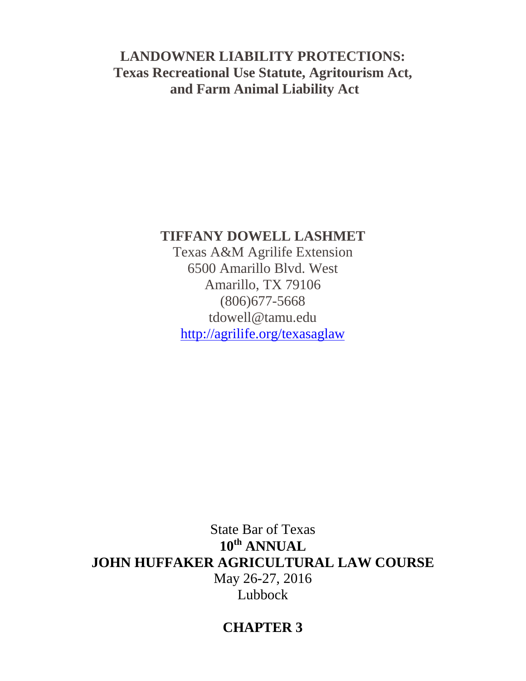# **LANDOWNER LIABILITY PROTECTIONS: Texas Recreational Use Statute, Agritourism Act, and Farm Animal Liability Act**

# **TIFFANY DOWELL LASHMET**

Texas A&M Agrilife Extension 6500 Amarillo Blvd. West Amarillo, TX 79106 (806)677-5668 tdowell@tamu.edu <http://agrilife.org/texasaglaw>

State Bar of Texas **10th ANNUAL JOHN HUFFAKER AGRICULTURAL LAW COURSE** May 26-27, 2016 Lubbock

# **CHAPTER 3**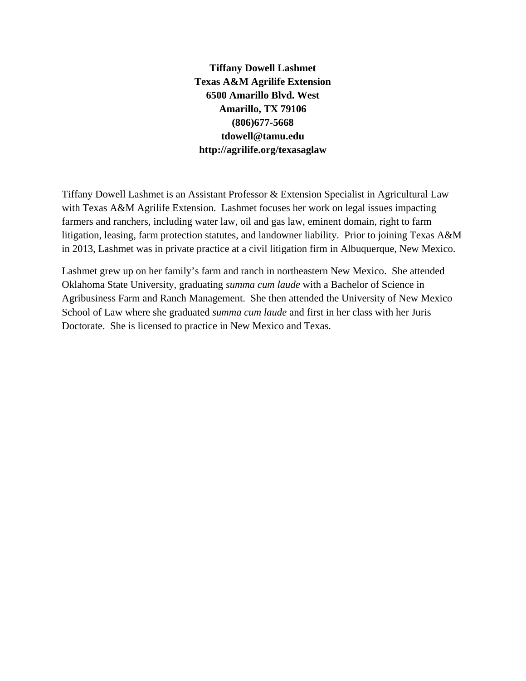**Tiffany Dowell Lashmet Texas A&M Agrilife Extension 6500 Amarillo Blvd. West Amarillo, TX 79106 (806)677-5668 tdowell@tamu.edu http://agrilife.org/texasaglaw** 

Tiffany Dowell Lashmet is an Assistant Professor & Extension Specialist in Agricultural Law with Texas A&M Agrilife Extension. Lashmet focuses her work on legal issues impacting farmers and ranchers, including water law, oil and gas law, eminent domain, right to farm litigation, leasing, farm protection statutes, and landowner liability. Prior to joining Texas A&M in 2013, Lashmet was in private practice at a civil litigation firm in Albuquerque, New Mexico.

Lashmet grew up on her family's farm and ranch in northeastern New Mexico. She attended Oklahoma State University, graduating *summa cum laude* with a Bachelor of Science in Agribusiness Farm and Ranch Management. She then attended the University of New Mexico School of Law where she graduated *summa cum laude* and first in her class with her Juris Doctorate. She is licensed to practice in New Mexico and Texas.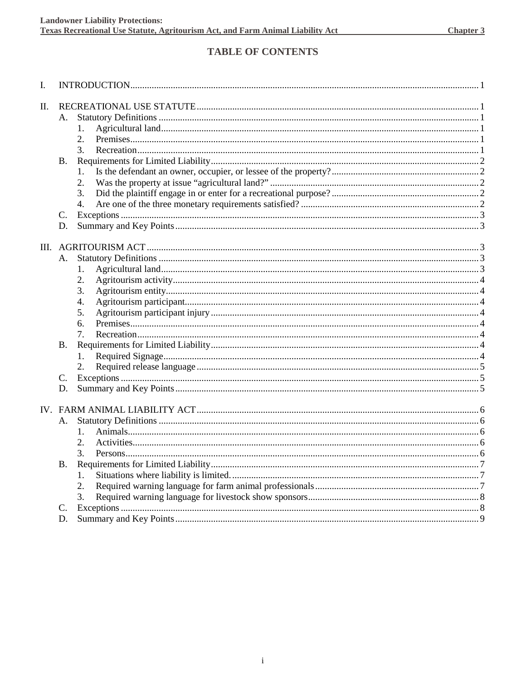# **TABLE OF CONTENTS**

| I. |           |          |  |  |
|----|-----------|----------|--|--|
| Π. |           |          |  |  |
|    | А.        |          |  |  |
|    |           | 1.       |  |  |
|    |           | 2.       |  |  |
|    |           | 3.       |  |  |
|    | <b>B.</b> |          |  |  |
|    |           | 1.       |  |  |
|    |           | 2.       |  |  |
|    |           | 3.       |  |  |
|    |           | 4.       |  |  |
|    | C.        |          |  |  |
|    | D.        |          |  |  |
|    |           |          |  |  |
|    |           |          |  |  |
|    | А.        |          |  |  |
|    |           | 1.       |  |  |
|    |           | 2.<br>3. |  |  |
|    |           | 4.       |  |  |
|    |           | 5.       |  |  |
|    |           | 6.       |  |  |
|    |           | 7.       |  |  |
|    |           |          |  |  |
|    | <b>B.</b> |          |  |  |
|    |           | 1.<br>2. |  |  |
|    |           |          |  |  |
|    | C.        |          |  |  |
|    | D.        |          |  |  |
|    |           |          |  |  |
|    | А.        |          |  |  |
|    |           | 1.       |  |  |
|    |           | 2.       |  |  |
|    |           | 3.       |  |  |
|    | <b>B.</b> |          |  |  |
|    |           | 1.       |  |  |
|    |           | 2.       |  |  |
|    |           | 3.       |  |  |
|    | C.        |          |  |  |
|    | D.        |          |  |  |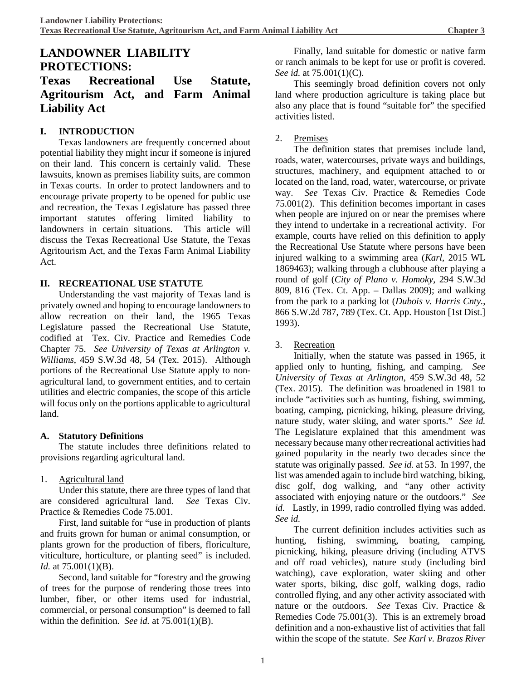# **LANDOWNER LIABILITY PROTECTIONS: Texas Recreational Use Statute, Agritourism Act, and Farm Animal Liability Act**

#### **I. INTRODUCTION**

Texas landowners are frequently concerned about potential liability they might incur if someone is injured on their land. This concern is certainly valid. These lawsuits, known as premises liability suits, are common in Texas courts. In order to protect landowners and to encourage private property to be opened for public use and recreation, the Texas Legislature has passed three important statutes offering limited liability to landowners in certain situations. This article will discuss the Texas Recreational Use Statute, the Texas Agritourism Act, and the Texas Farm Animal Liability Act.

#### **II. RECREATIONAL USE STATUTE**

Understanding the vast majority of Texas land is privately owned and hoping to encourage landowners to allow recreation on their land, the 1965 Texas Legislature passed the Recreational Use Statute, codified at Tex. Civ. Practice and Remedies Code Chapter 75. *See University of Texas at Arlington v. Williams*, 459 S.W.3d 48, 54 (Tex. 2015). Although portions of the Recreational Use Statute apply to nonagricultural land, to government entities, and to certain utilities and electric companies, the scope of this article will focus only on the portions applicable to agricultural land.

#### **A. Statutory Definitions**

The statute includes three definitions related to provisions regarding agricultural land.

#### 1. Agricultural land

Under this statute, there are three types of land that are considered agricultural land. *See* Texas Civ. Practice & Remedies Code 75.001.

First, land suitable for "use in production of plants and fruits grown for human or animal consumption, or plants grown for the production of fibers, floriculture, viticulture, horticulture, or planting seed" is included. *Id.* at 75.001(1)(B).

Second, land suitable for "forestry and the growing of trees for the purpose of rendering those trees into lumber, fiber, or other items used for industrial, commercial, or personal consumption" is deemed to fall within the definition. *See id.* at 75.001(1)(B).

Finally, land suitable for domestic or native farm or ranch animals to be kept for use or profit is covered. *See id.* at 75.001(1)(C).

This seemingly broad definition covers not only land where production agriculture is taking place but also any place that is found "suitable for" the specified activities listed.

#### 2. Premises

The definition states that premises include land, roads, water, watercourses, private ways and buildings, structures, machinery, and equipment attached to or located on the land, road, water, watercourse, or private way. *See* Texas Civ. Practice & Remedies Code 75.001(2). This definition becomes important in cases when people are injured on or near the premises where they intend to undertake in a recreational activity. For example, courts have relied on this definition to apply the Recreational Use Statute where persons have been injured walking to a swimming area (*Karl*, 2015 WL 1869463); walking through a clubhouse after playing a round of golf (*City of Plano v. Homoky*, 294 S.W.3d 809, 816 (Tex. Ct. App. – Dallas 2009); and walking from the park to a parking lot (*Dubois v. Harris Cnty.*, 866 S.W.2d 787, 789 (Tex. Ct. App. Houston [1st Dist.] 1993).

#### 3. Recreation

Initially, when the statute was passed in 1965, it applied only to hunting, fishing, and camping. *See University of Texas at Arlington*, 459 S.W.3d 48, 52 (Tex. 2015).The definition was broadened in 1981 to include "activities such as hunting, fishing, swimming, boating, camping, picnicking, hiking, pleasure driving, nature study, water skiing, and water sports." *See id.* The Legislature explained that this amendment was necessary because many other recreational activities had gained popularity in the nearly two decades since the statute was originally passed. *See id.* at 53. In 1997, the list was amended again to include bird watching, biking, disc golf, dog walking, and "any other activity associated with enjoying nature or the outdoors." *See id.* Lastly, in 1999, radio controlled flying was added. *See id.*

The current definition includes activities such as hunting, fishing, swimming, boating, camping, picnicking, hiking, pleasure driving (including ATVS and off road vehicles), nature study (including bird watching), cave exploration, water skiing and other water sports, biking, disc golf, walking dogs, radio controlled flying, and any other activity associated with nature or the outdoors. *See* Texas Civ. Practice & Remedies Code 75.001(3). This is an extremely broad definition and a non-exhaustive list of activities that fall within the scope of the statute. *See Karl v. Brazos River*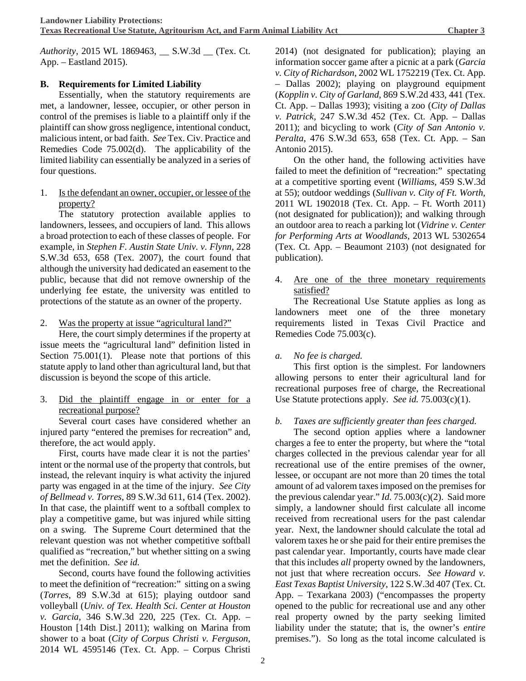*Authority*, 2015 WL 1869463, \_\_ S.W.3d \_\_ (Tex. Ct. App. – Eastland 2015).

## **B. Requirements for Limited Liability**

Essentially, when the statutory requirements are met, a landowner, lessee, occupier, or other person in control of the premises is liable to a plaintiff only if the plaintiff can show gross negligence, intentional conduct, malicious intent, or bad faith. *See* Tex. Civ. Practice and Remedies Code 75.002(d). The applicability of the limited liability can essentially be analyzed in a series of four questions.

1. Is the defendant an owner, occupier, or lessee of the property?

The statutory protection available applies to landowners, lessees, and occupiers of land. This allows a broad protection to each of these classes of people. For example, in *Stephen F. Austin State Univ. v. Flynn*, 228 S.W.3d 653, 658 (Tex. 2007), the court found that although the university had dedicated an easement to the public, because that did not remove ownership of the underlying fee estate, the university was entitled to protections of the statute as an owner of the property.

2. Was the property at issue "agricultural land?"

Here, the court simply determines if the property at issue meets the "agricultural land" definition listed in Section 75.001(1). Please note that portions of this statute apply to land other than agricultural land, but that discussion is beyond the scope of this article.

3. Did the plaintiff engage in or enter for a recreational purpose?

Several court cases have considered whether an injured party "entered the premises for recreation" and, therefore, the act would apply.

First, courts have made clear it is not the parties' intent or the normal use of the property that controls, but instead, the relevant inquiry is what activity the injured party was engaged in at the time of the injury. *See City of Bellmead v. Torres*, 89 S.W.3d 611, 614 (Tex. 2002). In that case, the plaintiff went to a softball complex to play a competitive game, but was injured while sitting on a swing. The Supreme Court determined that the relevant question was not whether competitive softball qualified as "recreation," but whether sitting on a swing met the definition. *See id.*

Second, courts have found the following activities to meet the definition of "recreation:" sitting on a swing (*Torres*, 89 S.W.3d at 615); playing outdoor sand volleyball (*Univ. of Tex. Health Sci. Center at Houston v. Garcia*, 346 S.W.3d 220, 225 (Tex. Ct. App. – Houston [14th Dist.] 2011); walking on Marina from shower to a boat (*City of Corpus Christi v. Ferguson*, 2014 WL 4595146 (Tex. Ct. App. – Corpus Christi

2014) (not designated for publication); playing an information soccer game after a picnic at a park (*Garcia v. City of Richardson*, 2002 WL 1752219 (Tex. Ct. App. – Dallas 2002); playing on playground equipment (*Kopplin v. City of Garland*, 869 S.W.2d 433, 441 (Tex. Ct. App. – Dallas 1993); visiting a zoo (*City of Dallas v. Patrick*, 247 S.W.3d 452 (Tex. Ct. App. – Dallas 2011); and bicycling to work (*City of San Antonio v. Peralta*, 476 S.W.3d 653, 658 (Tex. Ct. App. – San Antonio 2015).

On the other hand, the following activities have failed to meet the definition of "recreation:" spectating at a competitive sporting event (*Williams*, 459 S.W.3d at 55); outdoor weddings (*Sullivan v. City of Ft. Worth*, 2011 WL 1902018 (Tex. Ct. App. – Ft. Worth 2011) (not designated for publication)); and walking through an outdoor area to reach a parking lot (*Vidrine v. Center for Performing Arts at Woodlands*, 2013 WL 5302654 (Tex. Ct. App. – Beaumont 2103) (not designated for publication).

#### 4. Are one of the three monetary requirements satisfied?

The Recreational Use Statute applies as long as landowners meet one of the three monetary requirements listed in Texas Civil Practice and Remedies Code 75.003(c).

#### *a. No fee is charged.*

This first option is the simplest. For landowners allowing persons to enter their agricultural land for recreational purposes free of charge, the Recreational Use Statute protections apply. *See id.* 75.003(c)(1).

#### *b. Taxes are sufficiently greater than fees charged.*

The second option applies where a landowner charges a fee to enter the property, but where the "total charges collected in the previous calendar year for all recreational use of the entire premises of the owner, lessee, or occupant are not more than 20 times the total amount of ad valorem taxes imposed on the premises for the previous calendar year." *Id.* 75.003(c)(2). Said more simply, a landowner should first calculate all income received from recreational users for the past calendar year. Next, the landowner should calculate the total ad valorem taxes he or she paid for their entire premises the past calendar year. Importantly, courts have made clear that this includes *all* property owned by the landowners, not just that where recreation occurs. *See Howard v. East Texas Baptist University*, 122 S.W.3d 407 (Tex. Ct. App. – Texarkana 2003) ("encompasses the property opened to the public for recreational use and any other real property owned by the party seeking limited liability under the statute; that is, the owner's *entire* premises."). So long as the total income calculated is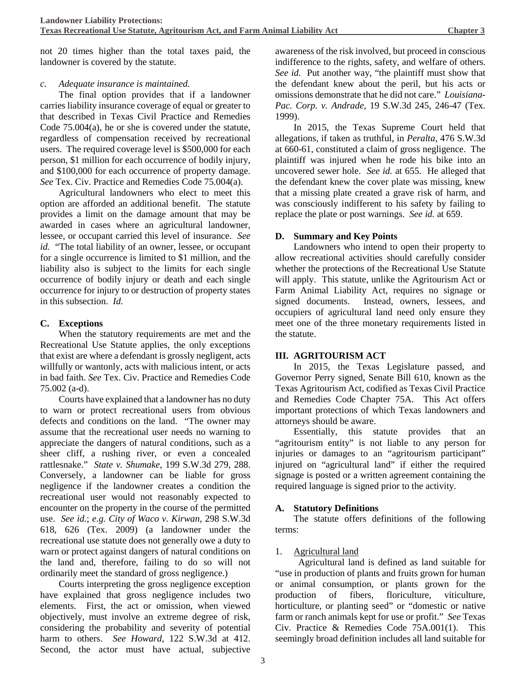not 20 times higher than the total taxes paid, the landowner is covered by the statute.

#### *c. Adequate insurance is maintained.*

The final option provides that if a landowner carries liability insurance coverage of equal or greater to that described in Texas Civil Practice and Remedies Code 75.004(a), he or she is covered under the statute, regardless of compensation received by recreational users. The required coverage level is \$500,000 for each person, \$1 million for each occurrence of bodily injury, and \$100,000 for each occurrence of property damage. *See* Tex. Civ. Practice and Remedies Code 75.004(a).

Agricultural landowners who elect to meet this option are afforded an additional benefit. The statute provides a limit on the damage amount that may be awarded in cases where an agricultural landowner, lessee, or occupant carried this level of insurance. *See id.* "The total liability of an owner, lessee, or occupant for a single occurrence is limited to \$1 million, and the liability also is subject to the limits for each single occurrence of bodily injury or death and each single occurrence for injury to or destruction of property states in this subsection. *Id.*

## **C. Exceptions**

When the statutory requirements are met and the Recreational Use Statute applies, the only exceptions that exist are where a defendant is grossly negligent, acts willfully or wantonly, acts with malicious intent, or acts in bad faith. *See* Tex. Civ. Practice and Remedies Code 75.002 (a-d).

Courts have explained that a landowner has no duty to warn or protect recreational users from obvious defects and conditions on the land. "The owner may assume that the recreational user needs no warning to appreciate the dangers of natural conditions, such as a sheer cliff, a rushing river, or even a concealed rattlesnake." *State v. Shumake*, 199 S.W.3d 279, 288. Conversely, a landowner can be liable for gross negligence if the landowner creates a condition the recreational user would not reasonably expected to encounter on the property in the course of the permitted use. *See id.*; *e.g. City of Waco v. Kirwan*, 298 S.W.3d 618, 626 (Tex. 2009) (a landowner under the recreational use statute does not generally owe a duty to warn or protect against dangers of natural conditions on the land and, therefore, failing to do so will not ordinarily meet the standard of gross negligence.)

Courts interpreting the gross negligence exception have explained that gross negligence includes two elements. First, the act or omission, when viewed objectively, must involve an extreme degree of risk, considering the probability and severity of potential harm to others. *See Howard*, 122 S.W.3d at 412. Second, the actor must have actual, subjective

awareness of the risk involved, but proceed in conscious indifference to the rights, safety, and welfare of others. *See id.* Put another way, "the plaintiff must show that the defendant knew about the peril, but his acts or omissions demonstrate that he did not care." *Louisiana-Pac. Corp. v. Andrade*, 19 S.W.3d 245, 246-47 (Tex. 1999).

In 2015, the Texas Supreme Court held that allegations, if taken as truthful, in *Peralta*, 476 S.W.3d at 660-61, constituted a claim of gross negligence. The plaintiff was injured when he rode his bike into an uncovered sewer hole. *See id.* at 655. He alleged that the defendant knew the cover plate was missing, knew that a missing plate created a grave risk of harm, and was consciously indifferent to his safety by failing to replace the plate or post warnings. *See id.* at 659.

## **D. Summary and Key Points**

Landowners who intend to open their property to allow recreational activities should carefully consider whether the protections of the Recreational Use Statute will apply. This statute, unlike the Agritourism Act or Farm Animal Liability Act, requires no signage or signed documents. Instead, owners, lessees, and occupiers of agricultural land need only ensure they meet one of the three monetary requirements listed in the statute.

## **III. AGRITOURISM ACT**

In 2015, the Texas Legislature passed, and Governor Perry signed, Senate Bill 610, known as the Texas Agritourism Act, codified as Texas Civil Practice and Remedies Code Chapter 75A. This Act offers important protections of which Texas landowners and attorneys should be aware.

Essentially, this statute provides that an "agritourism entity" is not liable to any person for injuries or damages to an "agritourism participant" injured on "agricultural land" if either the required signage is posted or a written agreement containing the required language is signed prior to the activity.

## **A. Statutory Definitions**

The statute offers definitions of the following terms:

## 1. Agricultural land

Agricultural land is defined as land suitable for "use in production of plants and fruits grown for human or animal consumption, or plants grown for the production of fibers, floriculture, viticulture, horticulture, or planting seed" or "domestic or native farm or ranch animals kept for use or profit." *See* Texas Civ. Practice & Remedies Code 75A.001(1). This seemingly broad definition includes all land suitable for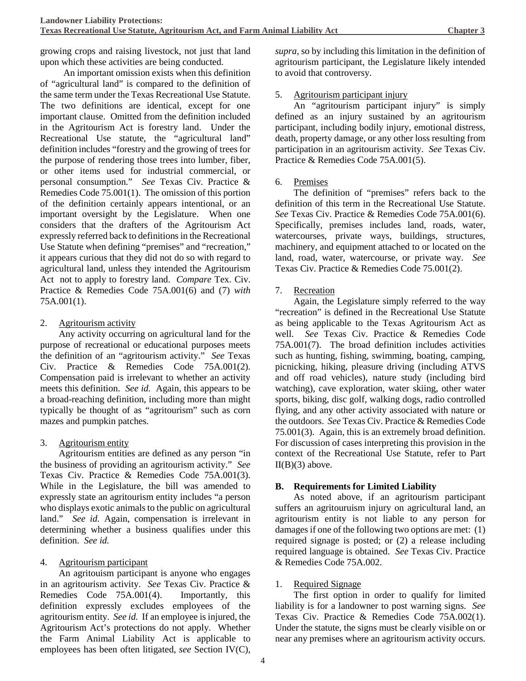growing crops and raising livestock, not just that land upon which these activities are being conducted.

An important omission exists when this definition of "agricultural land" is compared to the definition of the same term under the Texas Recreational Use Statute. The two definitions are identical, except for one important clause. Omitted from the definition included in the Agritourism Act is forestry land. Under the Recreational Use statute, the "agricultural land" definition includes "forestry and the growing of trees for the purpose of rendering those trees into lumber, fiber, or other items used for industrial commercial, or personal consumption." *See* Texas Civ. Practice & Remedies Code 75.001(1). The omission of this portion of the definition certainly appears intentional, or an important oversight by the Legislature. When one considers that the drafters of the Agritourism Act expressly referred back to definitions in the Recreational Use Statute when defining "premises" and "recreation," it appears curious that they did not do so with regard to agricultural land, unless they intended the Agritourism Act not to apply to forestry land. *Compare* Tex. Civ. Practice & Remedies Code 75A.001(6) and (7) *with* 75A.001(1).

#### 2. Agritourism activity

Any activity occurring on agricultural land for the purpose of recreational or educational purposes meets the definition of an "agritourism activity." *See* Texas Civ. Practice & Remedies Code 75A.001(2). Compensation paid is irrelevant to whether an activity meets this definition. *See id.* Again, this appears to be a broad-reaching definition, including more than might typically be thought of as "agritourism" such as corn mazes and pumpkin patches.

#### 3. Agritourism entity

Agritourism entities are defined as any person "in the business of providing an agritourism activity." *See* Texas Civ. Practice & Remedies Code 75A.001(3). While in the Legislature, the bill was amended to expressly state an agritourism entity includes "a person who displays exotic animals to the public on agricultural land." *See id.* Again, compensation is irrelevant in determining whether a business qualifies under this definition. *See id.*

#### 4. Agritourism participant

An agritouism participant is anyone who engages in an agritourism activity. *See* Texas Civ. Practice & Remedies Code 75A.001(4). Importantly, this definition expressly excludes employees of the agritourism entity. *See id.* If an employee is injured, the Agritourism Act's protections do not apply. Whether the Farm Animal Liability Act is applicable to employees has been often litigated, *see* Section IV(C),

*supra*, so by including this limitation in the definition of agritourism participant, the Legislature likely intended to avoid that controversy.

## 5. Agritourism participant injury

An "agritourism participant injury" is simply defined as an injury sustained by an agritourism participant, including bodily injury, emotional distress, death, property damage, or any other loss resulting from participation in an agritourism activity. *See* Texas Civ. Practice & Remedies Code 75A.001(5).

## 6. Premises

The definition of "premises" refers back to the definition of this term in the Recreational Use Statute. *See* Texas Civ. Practice & Remedies Code 75A.001(6). Specifically, premises includes land, roads, water, watercourses, private ways, buildings, structures, machinery, and equipment attached to or located on the land, road, water, watercourse, or private way. *See*  Texas Civ. Practice & Remedies Code 75.001(2).

#### 7. Recreation

Again, the Legislature simply referred to the way "recreation" is defined in the Recreational Use Statute as being applicable to the Texas Agritourism Act as well. *See* Texas Civ. Practice & Remedies Code 75A.001(7). The broad definition includes activities such as hunting, fishing, swimming, boating, camping, picnicking, hiking, pleasure driving (including ATVS and off road vehicles), nature study (including bird watching), cave exploration, water skiing, other water sports, biking, disc golf, walking dogs, radio controlled flying, and any other activity associated with nature or the outdoors. *See* Texas Civ. Practice & Remedies Code 75.001(3). Again, this is an extremely broad definition. For discussion of cases interpreting this provision in the context of the Recreational Use Statute, refer to Part  $II(B)(3)$  above.

#### **B. Requirements for Limited Liability**

As noted above, if an agritourism participant suffers an agritouruism injury on agricultural land, an agritourism entity is not liable to any person for damages if one of the following two options are met: (1) required signage is posted; or (2) a release including required language is obtained. *See* Texas Civ. Practice & Remedies Code 75A.002.

#### 1. Required Signage

The first option in order to qualify for limited liability is for a landowner to post warning signs. *See* Texas Civ. Practice & Remedies Code 75A.002(1). Under the statute, the signs must be clearly visible on or near any premises where an agritourism activity occurs.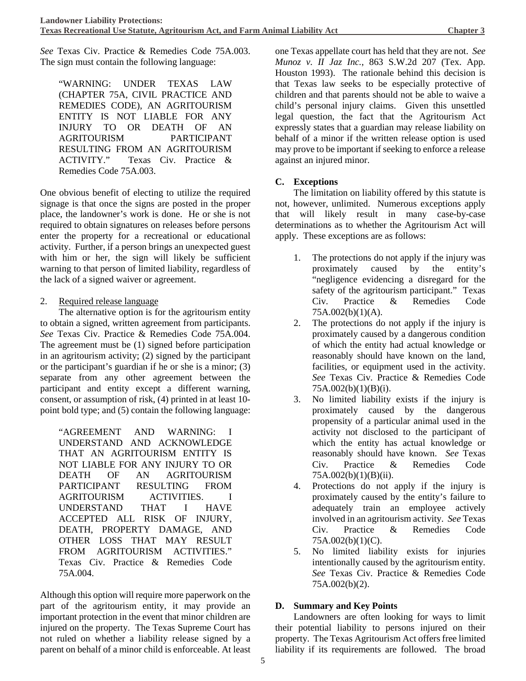*See* Texas Civ. Practice & Remedies Code 75A.003. The sign must contain the following language:

"WARNING: UNDER TEXAS LAW (CHAPTER 75A, CIVIL PRACTICE AND REMEDIES CODE), AN AGRITOURISM ENTITY IS NOT LIABLE FOR ANY INJURY TO OR DEATH OF AN AGRITOURISM PARTICIPANT RESULTING FROM AN AGRITOURISM ACTIVITY." Texas Civ. Practice & Remedies Code 75A.003.

One obvious benefit of electing to utilize the required signage is that once the signs are posted in the proper place, the landowner's work is done. He or she is not required to obtain signatures on releases before persons enter the property for a recreational or educational activity. Further, if a person brings an unexpected guest with him or her, the sign will likely be sufficient warning to that person of limited liability, regardless of the lack of a signed waiver or agreement.

#### 2. Required release language

The alternative option is for the agritourism entity to obtain a signed, written agreement from participants. *See* Texas Civ. Practice & Remedies Code 75A.004. The agreement must be (1) signed before participation in an agritourism activity; (2) signed by the participant or the participant's guardian if he or she is a minor; (3) separate from any other agreement between the participant and entity except a different warning, consent, or assumption of risk, (4) printed in at least 10 point bold type; and (5) contain the following language:

"AGREEMENT AND WARNING: I UNDERSTAND AND ACKNOWLEDGE THAT AN AGRITOURISM ENTITY IS NOT LIABLE FOR ANY INJURY TO OR DEATH OF AN AGRITOURISM PARTICIPANT RESULTING FROM AGRITOURISM ACTIVITIES. I UNDERSTAND THAT I HAVE ACCEPTED ALL RISK OF INJURY, DEATH, PROPERTY DAMAGE, AND OTHER LOSS THAT MAY RESULT FROM AGRITOURISM ACTIVITIES." Texas Civ. Practice & Remedies Code 75A.004.

Although this option will require more paperwork on the part of the agritourism entity, it may provide an important protection in the event that minor children are injured on the property. The Texas Supreme Court has not ruled on whether a liability release signed by a parent on behalf of a minor child is enforceable. At least one Texas appellate court has held that they are not. *See Munoz v. II Jaz Inc.*, 863 S.W.2d 207 (Tex. App. Houston 1993). The rationale behind this decision is that Texas law seeks to be especially protective of children and that parents should not be able to waive a child's personal injury claims. Given this unsettled legal question, the fact that the Agritourism Act expressly states that a guardian may release liability on behalf of a minor if the written release option is used may prove to be important if seeking to enforce a release against an injured minor.

## **C. Exceptions**

The limitation on liability offered by this statute is not, however, unlimited. Numerous exceptions apply that will likely result in many case-by-case determinations as to whether the Agritourism Act will apply. These exceptions are as follows:

- 1. The protections do not apply if the injury was proximately caused by the entity's "negligence evidencing a disregard for the safety of the agritourism participant." Texas Civ. Practice & Remedies Code 75A.002(b)(1)(A).
- 2. The protections do not apply if the injury is proximately caused by a dangerous condition of which the entity had actual knowledge or reasonably should have known on the land, facilities, or equipment used in the activity. *See* Texas Civ. Practice & Remedies Code 75A.002(b)(1)(B)(i).
- 3. No limited liability exists if the injury is proximately caused by the dangerous propensity of a particular animal used in the activity not disclosed to the participant of which the entity has actual knowledge or reasonably should have known. *See* Texas Civ. Practice & Remedies Code 75A.002(b)(1)(B)(ii).
- 4. Protections do not apply if the injury is proximately caused by the entity's failure to adequately train an employee actively involved in an agritourism activity. *See* Texas Civ. Practice & Remedies Code 75A.002(b)(1)(C).
- 5. No limited liability exists for injuries intentionally caused by the agritourism entity. *See* Texas Civ. Practice & Remedies Code 75A.002(b)(2).

#### **D. Summary and Key Points**

Landowners are often looking for ways to limit their potential liability to persons injured on their property. The Texas Agritourism Act offers free limited liability if its requirements are followed. The broad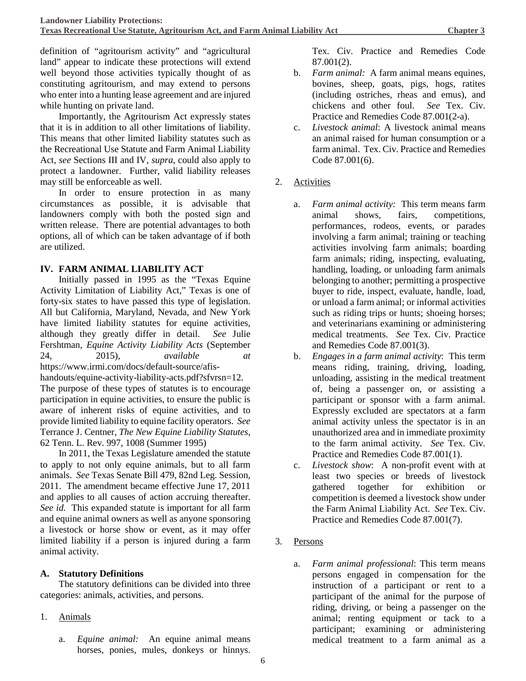definition of "agritourism activity" and "agricultural land" appear to indicate these protections will extend well beyond those activities typically thought of as constituting agritourism, and may extend to persons who enter into a hunting lease agreement and are injured while hunting on private land.

Importantly, the Agritourism Act expressly states that it is in addition to all other limitations of liability. This means that other limited liability statutes such as the Recreational Use Statute and Farm Animal Liability Act, *see* Sections III and IV, *supra*, could also apply to protect a landowner. Further, valid liability releases may still be enforceable as well.

In order to ensure protection in as many circumstances as possible, it is advisable that landowners comply with both the posted sign and written release. There are potential advantages to both options, all of which can be taken advantage of if both are utilized.

## **IV. FARM ANIMAL LIABILITY ACT**

Initially passed in 1995 as the "Texas Equine Activity Limitation of Liability Act," Texas is one of forty-six states to have passed this type of legislation. All but California, Maryland, Nevada, and New York have limited liability statutes for equine activities, although they greatly differ in detail. *See* Julie Fershtman, *Equine Activity Liability Acts* (September 24, 2015), *available at*  https://www.irmi.com/docs/default-source/afishandouts/equine-activity-liability-acts.pdf?sfvrsn=12. The purpose of these types of statutes is to encourage participation in equine activities, to ensure the public is aware of inherent risks of equine activities, and to provide limited liability to equine facility operators. *See* Terrance J. Centner, *The New Equine Liability Statutes*,

62 Tenn. L. Rev. 997, 1008 (Summer 1995) In 2011, the Texas Legislature amended the statute to apply to not only equine animals, but to all farm animals. *See* Texas Senate Bill 479, 82nd Leg. Session, 2011. The amendment became effective June 17, 2011 and applies to all causes of action accruing thereafter. *See id.* This expanded statute is important for all farm and equine animal owners as well as anyone sponsoring a livestock or horse show or event, as it may offer limited liability if a person is injured during a farm animal activity.

## **A. Statutory Definitions**

The statutory definitions can be divided into three categories: animals, activities, and persons.

- 1. Animals
	- a. *Equine animal:* An equine animal means horses, ponies, mules, donkeys or hinnys.

Tex. Civ. Practice and Remedies Code 87.001(2).

- b. *Farm animal:* A farm animal means equines, bovines, sheep, goats, pigs, hogs, ratites (including ostriches, rheas and emus), and chickens and other foul. *See* Tex. Civ. Practice and Remedies Code 87.001(2-a).
- c. *Livestock animal*: A livestock animal means an animal raised for human consumption or a farm animal. Tex. Civ. Practice and Remedies Code 87.001(6).
- 2. Activities
	- a. *Farm animal activity:* This term means farm animal shows, fairs, competitions, performances, rodeos, events, or parades involving a farm animal; training or teaching activities involving farm animals; boarding farm animals; riding, inspecting, evaluating, handling, loading, or unloading farm animals belonging to another; permitting a prospective buyer to ride, inspect, evaluate, handle, load, or unload a farm animal; or informal activities such as riding trips or hunts; shoeing horses; and veterinarians examining or administering medical treatments. *See* Tex. Civ. Practice and Remedies Code 87.001(3).
	- b. *Engages in a farm animal activity*: This term means riding, training, driving, loading, unloading, assisting in the medical treatment of, being a passenger on, or assisting a participant or sponsor with a farm animal. Expressly excluded are spectators at a farm animal activity unless the spectator is in an unauthorized area and in immediate proximity to the farm animal activity. *See* Tex. Civ. Practice and Remedies Code 87.001(1).
	- c. *Livestock show*: A non-profit event with at least two species or breeds of livestock gathered together for exhibition or competition is deemed a livestock show under the Farm Animal Liability Act. *See* Tex. Civ. Practice and Remedies Code 87.001(7).
- 3. Persons
	- a. *Farm animal professional*: This term means persons engaged in compensation for the instruction of a participant or rent to a participant of the animal for the purpose of riding, driving, or being a passenger on the animal; renting equipment or tack to a participant; examining or administering medical treatment to a farm animal as a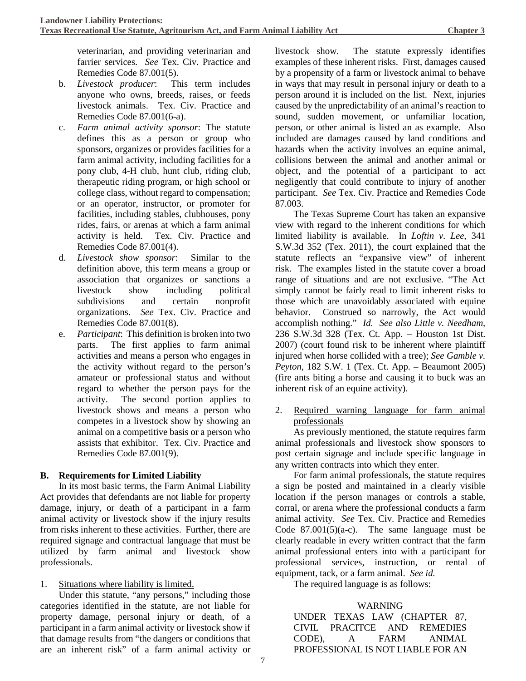veterinarian, and providing veterinarian and farrier services. *See* Tex. Civ. Practice and Remedies Code 87.001(5).

- b. *Livestock producer*: This term includes anyone who owns, breeds, raises, or feeds livestock animals. Tex. Civ. Practice and Remedies Code 87.001(6-a).
- c. *Farm animal activity sponsor*: The statute defines this as a person or group who sponsors, organizes or provides facilities for a farm animal activity, including facilities for a pony club, 4-H club, hunt club, riding club, therapeutic riding program, or high school or college class, without regard to compensation; or an operator, instructor, or promoter for facilities, including stables, clubhouses, pony rides, fairs, or arenas at which a farm animal activity is held. Tex. Civ. Practice and Remedies Code 87.001(4).
- d. *Livestock show sponsor*: Similar to the definition above, this term means a group or association that organizes or sanctions a livestock show including political subdivisions and certain nonprofit organizations. *See* Tex. Civ. Practice and Remedies Code 87.001(8).
- e. *Participant*: This definition is broken into two parts. The first applies to farm animal activities and means a person who engages in the activity without regard to the person's amateur or professional status and without regard to whether the person pays for the activity. The second portion applies to livestock shows and means a person who competes in a livestock show by showing an animal on a competitive basis or a person who assists that exhibitor. Tex. Civ. Practice and Remedies Code 87.001(9).

#### **B. Requirements for Limited Liability**

In its most basic terms, the Farm Animal Liability Act provides that defendants are not liable for property damage, injury, or death of a participant in a farm animal activity or livestock show if the injury results from risks inherent to these activities. Further, there are required signage and contractual language that must be utilized by farm animal and livestock show professionals.

#### 1. Situations where liability is limited.

Under this statute, "any persons," including those categories identified in the statute, are not liable for property damage, personal injury or death, of a participant in a farm animal activity or livestock show if that damage results from "the dangers or conditions that are an inherent risk" of a farm animal activity or

livestock show. The statute expressly identifies examples of these inherent risks. First, damages caused by a propensity of a farm or livestock animal to behave in ways that may result in personal injury or death to a person around it is included on the list. Next, injuries caused by the unpredictability of an animal's reaction to sound, sudden movement, or unfamiliar location, person, or other animal is listed an as example. Also included are damages caused by land conditions and hazards when the activity involves an equine animal, collisions between the animal and another animal or object, and the potential of a participant to act negligently that could contribute to injury of another participant. *See* Tex. Civ. Practice and Remedies Code 87.003.

The Texas Supreme Court has taken an expansive view with regard to the inherent conditions for which limited liability is available. In *L*o*ftin v. Lee,* 341 S.W.3d 352 (Tex. 2011)*,* the court explained that the statute reflects an "expansive view" of inherent risk. The examples listed in the statute cover a broad range of situations and are not exclusive. "The Act simply cannot be fairly read to limit inherent risks to those which are unavoidably associated with equine behavior. Construed so narrowly, the Act would accomplish nothing." *Id. See also Little v. Needham,* 236 S.W.3d 328 (Tex. Ct. App. – Houston 1st Dist. 2007) (court found risk to be inherent where plaintiff injured when horse collided with a tree); *See Gamble v. Peyton*, 182 S.W. 1 (Tex. Ct. App. – Beaumont 2005) (fire ants biting a horse and causing it to buck was an inherent risk of an equine activity).

2. Required warning language for farm animal professionals

As previously mentioned, the statute requires farm animal professionals and livestock show sponsors to post certain signage and include specific language in any written contracts into which they enter.

For farm animal professionals, the statute requires a sign be posted and maintained in a clearly visible location if the person manages or controls a stable, corral, or arena where the professional conducts a farm animal activity. *See* Tex. Civ. Practice and Remedies Code  $87.001(5)(a-c)$ . The same language must be clearly readable in every written contract that the farm animal professional enters into with a participant for professional services, instruction, or rental of equipment, tack, or a farm animal. *See id.*

The required language is as follows:

#### WARNING

UNDER TEXAS LAW (CHAPTER 87, CIVIL PRACITCE AND REMEDIES CODE), A FARM ANIMAL PROFESSIONAL IS NOT LIABLE FOR AN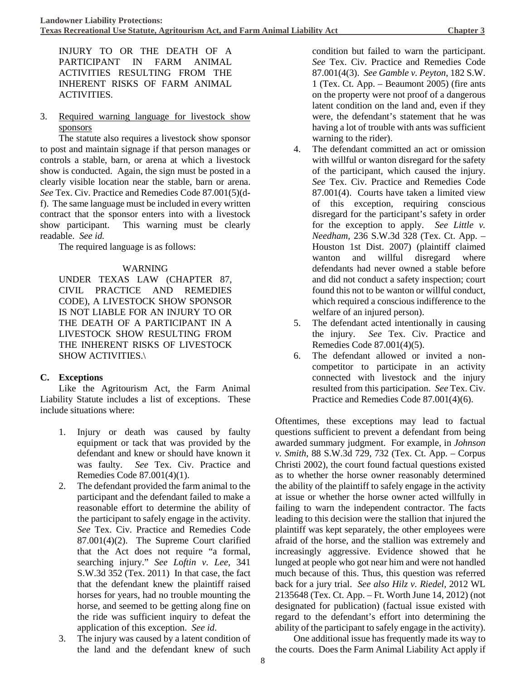INJURY TO OR THE DEATH OF A PARTICIPANT IN FARM ANIMAL ACTIVITIES RESULTING FROM THE INHERENT RISKS OF FARM ANIMAL ACTIVITIES.

3. Required warning language for livestock show sponsors

The statute also requires a livestock show sponsor to post and maintain signage if that person manages or controls a stable, barn, or arena at which a livestock show is conducted. Again, the sign must be posted in a clearly visible location near the stable, barn or arena. *See* Tex. Civ. Practice and Remedies Code 87.001(5)(df). The same language must be included in every written contract that the sponsor enters into with a livestock show participant. This warning must be clearly readable. *See id.*

The required language is as follows:

#### WARNING

UNDER TEXAS LAW (CHAPTER 87, CIVIL PRACTICE AND REMEDIES CODE), A LIVESTOCK SHOW SPONSOR IS NOT LIABLE FOR AN INJURY TO OR THE DEATH OF A PARTICIPANT IN A LIVESTOCK SHOW RESULTING FROM THE INHERENT RISKS OF LIVESTOCK SHOW ACTIVITIES.\

#### **C. Exceptions**

Like the Agritourism Act, the Farm Animal Liability Statute includes a list of exceptions. These include situations where:

- 1. Injury or death was caused by faulty equipment or tack that was provided by the defendant and knew or should have known it was faulty. *See* Tex. Civ. Practice and Remedies Code 87.001(4)(1).
- 2. The defendant provided the farm animal to the participant and the defendant failed to make a reasonable effort to determine the ability of the participant to safely engage in the activity. *See* Tex. Civ. Practice and Remedies Code 87.001(4)(2). The Supreme Court clarified that the Act does not require "a formal, searching injury." *See L*o*ftin v. Lee,* 341 S.W.3d 352 (Tex. 2011) In that case, the fact that the defendant knew the plaintiff raised horses for years, had no trouble mounting the horse, and seemed to be getting along fine on the ride was sufficient inquiry to defeat the application of this exception. *See id*.
- 3. The injury was caused by a latent condition of the land and the defendant knew of such

condition but failed to warn the participant. *See* Tex. Civ. Practice and Remedies Code 87.001(4(3). *See Gamble v. Peyton*, 182 S.W. 1 (Tex. Ct. App. – Beaumont 2005) (fire ants on the property were not proof of a dangerous latent condition on the land and, even if they were, the defendant's statement that he was having a lot of trouble with ants was sufficient warning to the rider).

- 4. The defendant committed an act or omission with willful or wanton disregard for the safety of the participant, which caused the injury. *See* Tex. Civ. Practice and Remedies Code 87.001(4). Courts have taken a limited view of this exception, requiring conscious disregard for the participant's safety in order for the exception to apply. *See Little v. Needham,* 236 S.W.3d 328 (Tex. Ct. App. – Houston 1st Dist. 2007) (plaintiff claimed wanton and willful disregard where defendants had never owned a stable before and did not conduct a safety inspection; court found this not to be wanton or willful conduct, which required a conscious indifference to the welfare of an injured person).
- 5. The defendant acted intentionally in causing the injury. *See* Tex. Civ. Practice and Remedies Code 87.001(4)(5).
- 6. The defendant allowed or invited a noncompetitor to participate in an activity connected with livestock and the injury resulted from this participation. *See* Tex. Civ. Practice and Remedies Code 87.001(4)(6).

Oftentimes, these exceptions may lead to factual questions sufficient to prevent a defendant from being awarded summary judgment. For example, in *Johnson v. Smith*, 88 S.W.3d 729, 732 (Tex. Ct. App. – Corpus Christi 2002), the court found factual questions existed as to whether the horse owner reasonably determined the ability of the plaintiff to safely engage in the activity at issue or whether the horse owner acted willfully in failing to warn the independent contractor. The facts leading to this decision were the stallion that injured the plaintiff was kept separately, the other employees were afraid of the horse, and the stallion was extremely and increasingly aggressive. Evidence showed that he lunged at people who got near him and were not handled much because of this. Thus, this question was referred back for a jury trial. *See also Hilz v. Riedel,* 2012 WL 2135648 (Tex. Ct. App. – Ft. Worth June 14, 2012) (not designated for publication) (factual issue existed with regard to the defendant's effort into determining the ability of the participant to safely engage in the activity).

One additional issue has frequently made its way to the courts. Does the Farm Animal Liability Act apply if